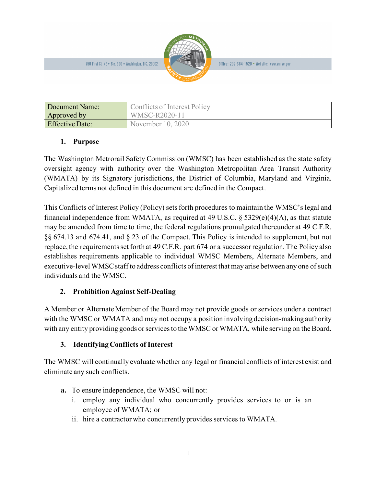750 First St. NE . Ste. 900 . Washington, D.C. 20002

| Document Name:         | Conflicts of Interest Policy |
|------------------------|------------------------------|
| Approved by            | WMSC-R2020-11                |
| <b>Effective Date:</b> | November 10, 2020            |

# **1. Purpose**

The Washington Metrorail Safety Commission (WMSC) has been established as the state safety oversight agency with authority over the Washington Metropolitan Area Transit Authority (WMATA) by its Signatory jurisdictions, the District of Columbia, Maryland and Virginia. Capitalized terms not defined in this document are defined in the Compact.

This Conflicts of Interest Policy (Policy) setsforth procedures to maintain the WMSC's legal and financial independence from WMATA, as required at 49 U.S.C.  $\S$  5329(e)(4)(A), as that statute may be amended from time to time, the federal regulations promulgated thereunder at 49 C.F.R. §§ 674.13 and 674.41, and § 23 of the Compact. This Policy is intended to supplement, but not replace, the requirements set forth at 49 C.F.R. part 674 or a successor regulation.The Policy also establishes requirements applicable to individual WMSC Members, Alternate Members, and executive-level WMSC staff to address conflicts of interest that may arise between any one of such individuals and the WMSC.

# **2. Prohibition Against Self-Dealing**

A Member or Alternate Member of the Board may not provide goods or services under a contract with the WMSC or WMATA and may not occupy a position involving decision-making authority with any entity providing goods or services to the WMSC or WMATA, while serving on the Board.

# **3. Identifying Conflicts of Interest**

The WMSC will continually evaluate whether any legal or financial conflicts of interest exist and eliminate any such conflicts.

- **a.** To ensure independence, the WMSC will not:
	- i. employ any individual who concurrently provides services to or is an employee of WMATA; or
	- ii. hire a contractor who concurrently provides services to WMATA.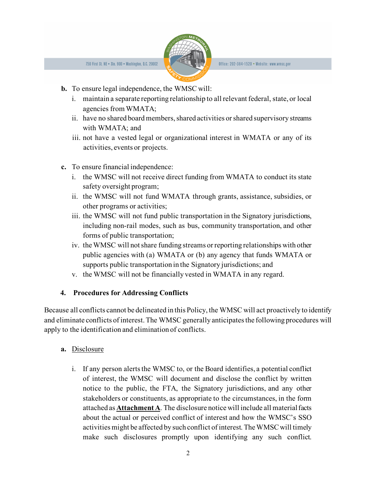

- **b.** To ensure legal independence, the WMSC will:
	- i. maintain a separate reporting relationship to all relevant federal, state, or local agencies from WMATA;
	- ii. have no shared board members, shared activities or shared supervisory streams with WMATA; and
	- iii. not have a vested legal or organizational interest in WMATA or any of its activities, events or projects.
- **c.** To ensure financial independence:
	- i. the WMSC will not receive direct funding from WMATA to conduct its state safety oversight program;
	- ii. the WMSC will not fund WMATA through grants, assistance, subsidies, or other programs or activities;
	- iii. the WMSC will not fund public transportation in the Signatory jurisdictions, including non-rail modes, such as bus, community transportation, and other forms of public transportation;
	- iv. the WMSC will not share funding streams or reporting relationships with other public agencies with (a) WMATA or (b) any agency that funds WMATA or supports public transportation in the Signatory jurisdictions; and
	- v. the WMSC will not be financially vested in WMATA in any regard.

### **4. Procedures for Addressing Conflicts**

Because all conflicts cannot be delineated in this Policy, the WMSC will act proactively to identify and eliminate conflicts of interest. The WMSC generally anticipates the following procedures will apply to the identification and elimination of conflicts.

### **a.** Disclosure

i. If any person alerts the WMSC to, or the Board identifies, a potential conflict of interest, the WMSC will document and disclose the conflict by written notice to the public, the FTA, the Signatory jurisdictions, and any other stakeholders or constituents, as appropriate to the circumstances, in the form attached as **Attachment A**. The disclosure notice will include all material facts about the actual or perceived conflict of interest and how the WMSC's SSO activities might be affected by such conflict of interest. The WMSCwill timely make such disclosures promptly upon identifying any such conflict.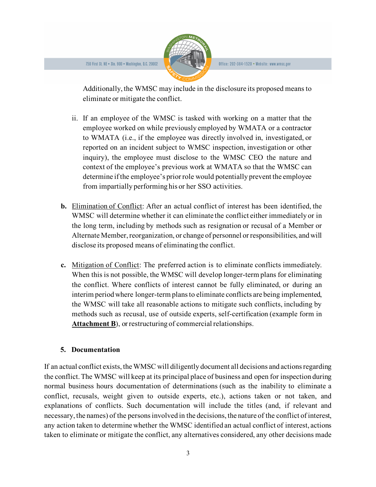

Additionally, the WMSC may include in the disclosure its proposed means to eliminate or mitigate the conflict.

- ii. If an employee of the WMSC is tasked with working on a matter that the employee worked on while previously employed by WMATA or a contractor to WMATA (i.e., if the employee was directly involved in, investigated, or reported on an incident subject to WMSC inspection, investigation or other inquiry), the employee must disclose to the WMSC CEO the nature and context of the employee's previous work at WMATA so that the WMSC can determine if the employee's prior role would potentially prevent the employee from impartially performing his or her SSO activities.
- **b.** Elimination of Conflict: After an actual conflict of interest has been identified, the WMSC will determine whether it can eliminate the conflict either immediately or in the long term, including by methods such as resignation or recusal of a Member or Alternate Member, reorganization, or change of personnel or responsibilities, and will disclose its proposed means of eliminating the conflict.
- **c.** Mitigation of Conflict: The preferred action is to eliminate conflicts immediately. When this is not possible, the WMSC will develop longer-term plans for eliminating the conflict. Where conflicts of interest cannot be fully eliminated, or during an interim period where longer-term plans to eliminate conflicts are being implemented, the WMSC will take all reasonable actions to mitigate such conflicts, including by methods such as recusal, use of outside experts, self-certification (example form in **Attachment B**), or restructuring of commercial relationships.

### **5. Documentation**

If an actual conflict exists, the WMSC will diligently document all decisions and actionsregarding the conflict. The WMSC will keep at its principal place of business and open for inspection during normal business hours documentation of determinations (such as the inability to eliminate a conflict, recusals, weight given to outside experts, etc.), actions taken or not taken, and explanations of conflicts. Such documentation will include the titles (and, if relevant and necessary, the names) of the persons involved in the decisions, the nature of the conflict of interest, any action taken to determine whether the WMSC identified an actual conflict of interest, actions taken to eliminate or mitigate the conflict, any alternatives considered, any other decisions made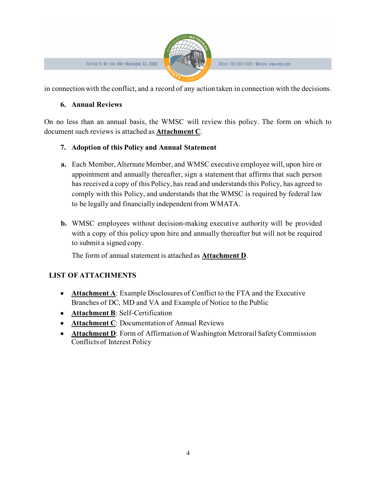

Office: 202-384-1520 • Website: www.wmsc.gov

in connection with the conflict, and a record of any action taken in connection with the decisions.

### **6. Annual Reviews**

On no less than an annual basis, the WMSC will review this policy. The form on which to document such reviews is attached as **Attachment C**.

# **7. Adoption of this Policy and Annual Statement**

- **a.** Each Member, Alternate Member, and WMSC executive employee will, upon hire or appointment and annually thereafter, sign a statement that affirms that such person has received a copy of this Policy, has read and understands this Policy, has agreed to comply with this Policy, and understands that the WMSC is required by federal law to be legally and financially independent from WMATA.
- **b.** WMSC employees without decision-making executive authority will be provided with a copy of this policy upon hire and annually thereafter but will not be required to submit a signed copy.

The form of annual statement is attached as **Attachment D**.

# **LIST OF ATTACHMENTS**

- **Attachment A**: Example Disclosures of Conflict to the FTA and the Executive Branches of DC, MD and VA and Example of Notice to the Public
- **Attachment B**: Self-Certification
- **Attachment C**: Documentation of Annual Reviews
- **Attachment D:** Form of Affirmation of Washington Metrorail Safety Commission Conflicts of Interest Policy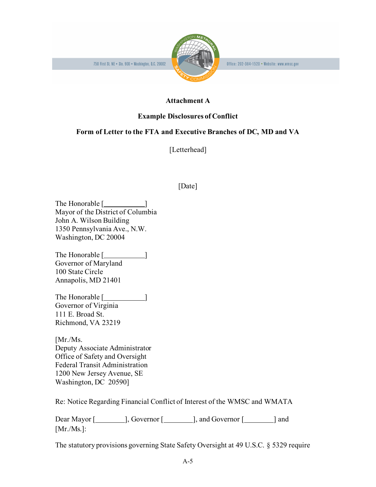

Office: 202-384-1520 • Website: www.wmsc.gov

### **Attachment A**

### **Example Disclosures of Conflict**

### **Form of Letter to the FTA and Executive Branches of DC, MD and VA**

[Letterhead]

# [Date]

The Honorable [ ] Mayor of the District of Columbia John A. Wilson Building 1350 Pennsylvania Ave., N.W. Washington, DC 20004

The Honorable [*\_\_\_\_\_\_\_\_\_*] Governor of Maryland 100 State Circle Annapolis, MD 21401

The Honorable [**will** Governor of Virginia 111 E. Broad St. Richmond, VA 23219

[Mr./Ms. Deputy Associate Administrator Office of Safety and Oversight Federal Transit Administration 1200 New Jersey Avenue, SE Washington, DC 20590]

Re: Notice Regarding Financial Conflict of Interest of the WMSC and WMATA

Dear Mayor [ ], Governor [ ], and Governor [ ] and [Mr./Ms.]:

The statutory provisions governing State Safety Oversight at 49 U.S.C. § 5329 require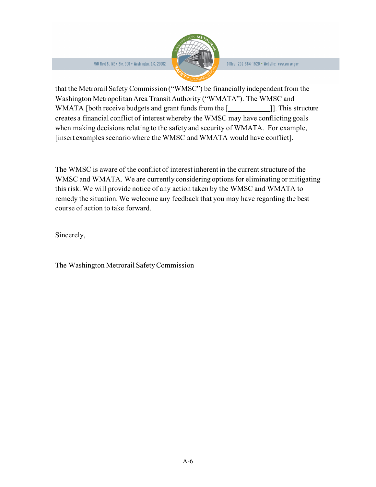

that the Metrorail Safety Commission ("WMSC") be financially independent from the Washington Metropolitan Area Transit Authority ("WMATA"). The WMSC and WMATA [both receive budgets and grant funds from the [\_\_\_\_\_\_\_\_\_\_\_\_\_\_\_\_\_\_\_\_\_\_\_\_\_\_\_]]. This structure creates a financial conflict of interest whereby the WMSC may have conflicting goals when making decisions relating to the safety and security of WMATA. For example, [insert examples scenario where the WMSC and WMATA would have conflict].

The WMSC is aware of the conflict of interest inherent in the current structure of the WMSC and WMATA. We are currently considering options for eliminating or mitigating this risk. We will provide notice of any action taken by the WMSC and WMATA to remedy the situation. We welcome any feedback that you may have regarding the best course of action to take forward.

Sincerely,

The Washington Metrorail Safety Commission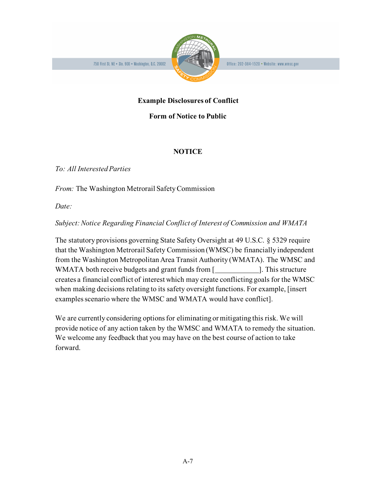

### **Example Disclosures of Conflict**

#### **Form of Notice to Public**

### **NOTICE**

*To: All Interested Parties*

*From:* The Washington Metrorail Safety Commission

*Date:*

*Subject: Notice Regarding Financial Conflict of Interest of Commission and WMATA*

The statutory provisions governing State Safety Oversight at 49 U.S.C. § 5329 require that the Washington Metrorail Safety Commission (WMSC) be financially independent from the Washington Metropolitan Area Transit Authority (WMATA). The WMSC and WMATA both receive budgets and grant funds from [*\_\_\_\_\_\_\_\_\_\_\_\_*]. This structure creates a financial conflict of interest which may create conflicting goals for the WMSC when making decisions relating to its safety oversight functions. For example, [insert examples scenario where the WMSC and WMATA would have conflict].

We are currently considering options for eliminating or mitigating this risk. We will provide notice of any action taken by the WMSC and WMATA to remedy the situation. We welcome any feedback that you may have on the best course of action to take forward.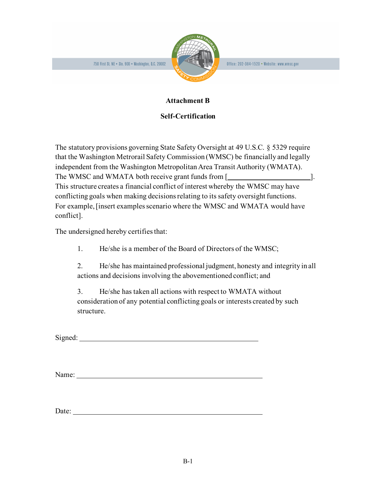

Office: 202-384-1520 • Website: www.wmsc.gov

### **Attachment B**

#### **Self-Certification**

The statutory provisions governing State Safety Oversight at 49 U.S.C. § 5329 require that the Washington Metrorail Safety Commission (WMSC) be financially and legally independent from the Washington Metropolitan Area Transit Authority (WMATA). The WMSC and WMATA both receive grant funds from [ This structure creates a financial conflict of interest whereby the WMSC may have conflicting goals when making decisions relating to its safety oversight functions. For example, [insert examples scenario where the WMSC and WMATA would have conflict].

The undersigned hereby certifies that:

1. He/she is a member of the Board of Directors of the WMSC;

2. He/she has maintained professional judgment, honesty and integrity in all actions and decisions involving the abovementioned conflict; and

3. He/she has taken all actions with respect to WMATA without consideration of any potential conflicting goals or interests created by such structure.

Signed:

Name:

Date: <u>Date:</u> 2002. **Date:** 2003. **Date:** 2004. **Date:** 2004. **Date:** 2004. **Date:** 2004. **Date:** 2004. **Date:** 2004. **Date:** 2004. **Date:** 2004. **Date:** 2004. **Date:** 2004. **Date:** 2004. **Date:** 2004. **Date:** 2004. **Date:**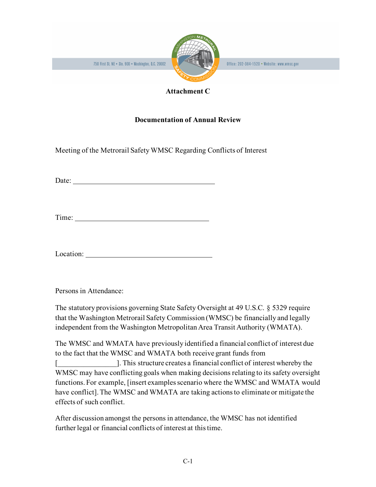



#### **Attachment C**

## **Documentation of Annual Review**

Meeting of the Metrorail Safety WMSC Regarding Conflicts of Interest

Date:

Time:

Location:

Persons in Attendance:

The statutory provisions governing State Safety Oversight at 49 U.S.C. § 5329 require that the Washington Metrorail Safety Commission (WMSC) be financially and legally independent from the Washington Metropolitan Area Transit Authority (WMATA).

The WMSC and WMATA have previously identified a financial conflict of interest due to the fact that the WMSC and WMATA both receive grant funds from

[\_\_\_\_\_\_\_\_\_\_\_\_\_\_\_\_]. This structure creates a financial conflict of interest whereby the WMSC may have conflicting goals when making decisions relating to its safety oversight functions. For example, [insert examples scenario where the WMSC and WMATA would have conflict]. The WMSC and WMATA are taking actions to eliminate or mitigate the effects of such conflict.

After discussion amongst the persons in attendance, the WMSC has not identified further legal or financial conflicts of interest at this time.